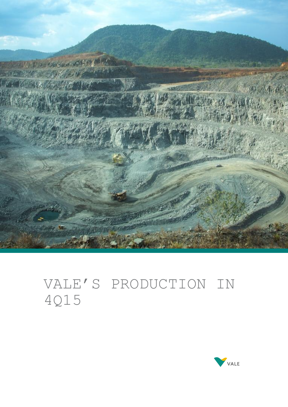

# VALE'S PRODUCTION IN 4Q15

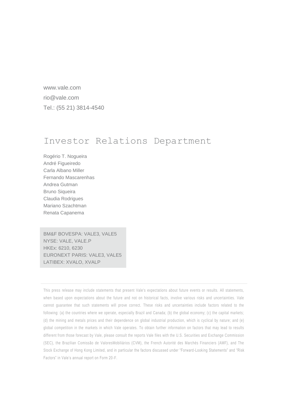www.vale.com rio@vale.com Tel.: (55 21) 3814-4540

# Investor Relations Department

Rogério T. Nogueira André Figueiredo Carla Albano Miller Fernando Mascarenhas Andrea Gutman Bruno Siqueira Claudia Rodrigues Mariano Szachtman Renata Capanema

BM&F BOVESPA: VALE3, VALE5 NYSE: VALE, VALE.P HKEx: 6210, 6230 EURONEXT PARIS: VALE3, VALE5 LATIBEX: XVALO, XVALP

This press release may include statements that present Vale's expectations about future events or results. All statements, when based upon expectations about the future and not on historical facts, involve various risks and uncertainties. Vale cannot guarantee that such statements will prove correct. These risks and uncertainties include factors related to the following: (a) the countries where we operate, especially Brazil and Canada; (b) the global economy; (c) the capital markets; (d) the mining and metals prices and their dependence on global industrial production, which is cyclical by nature; and (e) global competition in the markets in which Vale operates. To obtain further information on factors that may lead to results different from those forecast by Vale, please consult the reports Vale files with the U.S. Securities and Exchange Commission (SEC), the Brazilian Comissão de ValoresMobiliários (CVM), the French Autorité des Marchés Financiers (AMF), and The Stock Exchange of Hong Kong Limited, and in particular the factors discussed under "Forward-Looking Statements" and "Risk Factors" in Vale's annual report on Form 20-F.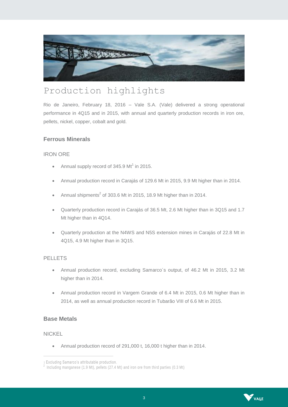

# Production highlights

Rio de Janeiro, February 18, 2016 – Vale S.A. (Vale) delivered a strong operational performance in 4Q15 and in 2015, with annual and quarterly production records in iron ore, pellets, nickel, copper, cobalt and gold.

# **Ferrous Minerals**

### IRON ORE

- Annual supply record of 345.9  $Mt^1$  in 2015.
- Annual production record in Carajás of 129.6 Mt in 2015, 9.9 Mt higher than in 2014.
- Annual shipments<sup>2</sup> of 303.6 Mt in 2015, 18.9 Mt higher than in 2014.
- Quarterly production record in Carajás of 36.5 Mt, 2.6 Mt higher than in 3Q15 and 1.7 Mt higher than in 4Q14.
- Quarterly production at the N4WS and N5S extension mines in Carajás of 22.8 Mt in 4Q15, 4.9 Mt higher than in 3Q15.

# **PELLETS**

- Annual production record, excluding Samarco´s output, of 46.2 Mt in 2015, 3.2 Mt higher than in 2014.
- Annual production record in Vargem Grande of 6.4 Mt in 2015, 0.6 Mt higher than in 2014, as well as annual production record in Tubarão VIII of 6.6 Mt in 2015.

# **Base Metals**

#### NICKEL

 $\overline{a}$ 

Annual production record of 291,000 t, 16,000 t higher than in 2014.



<sup>1</sup> Excluding Samarco's attributable production. 2

Including manganese (1.9 Mt), pellets (27.4 Mt) and iron ore from third parties (0.3 Mt)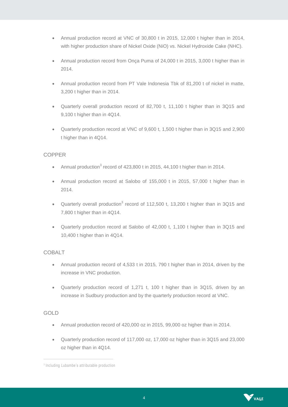- Annual production record at VNC of 30,800 t in 2015, 12,000 t higher than in 2014, with higher production share of Nickel Oxide (NiO) vs. Nickel Hydroxide Cake (NHC).
- Annual production record from Onça Puma of 24,000 t in 2015, 3,000 t higher than in 2014.
- Annual production record from PT Vale Indonesia Tbk of 81,200 t of nickel in matte, 3,200 t higher than in 2014.
- Quarterly overall production record of 82,700 t, 11,100 t higher than in 3Q15 and 9,100 t higher than in 4Q14.
- Quarterly production record at VNC of 9,600 t, 1,500 t higher than in 3Q15 and 2,900 t higher than in 4Q14.

### COPPER

- <span id="page-3-0"></span>• Annual production<sup>3</sup> record of 423,800 t in 2015, 44,100 t higher than in 2014.
- Annual production record at Salobo of 155,000 t in 2015, 57,000 t higher than in 2014.
- Quarterly overall production<sup>[3](#page-3-0)</sup> record of 112,500 t, 13,200 t higher than in 3Q15 and 7,800 t higher than in 4Q14.
- Quarterly production record at Salobo of 42,000 t, 1,100 t higher than in 3Q15 and 10,400 t higher than in 4Q14.

# COBALT

- Annual production record of 4,533 t in 2015, 790 t higher than in 2014, driven by the increase in VNC production.
- Quarterly production record of 1,271 t, 100 t higher than in 3Q15, driven by an increase in Sudbury production and by the quarterly production record at VNC.

#### GOLD

 $\overline{a}$ 

- Annual production record of 420,000 oz in 2015, 99,000 oz higher than in 2014.
- Quarterly production record of 117,000 oz, 17,000 oz higher than in 3Q15 and 23,000 oz higher than in 4Q14.



<sup>3</sup> Including Lubambe's attributable production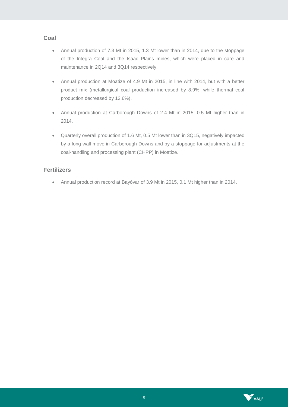### **Coal**

- Annual production of 7.3 Mt in 2015, 1.3 Mt lower than in 2014, due to the stoppage of the Integra Coal and the Isaac Plains mines, which were placed in care and maintenance in 2Q14 and 3Q14 respectively.
- Annual production at Moatize of 4.9 Mt in 2015, in line with 2014, but with a better product mix (metallurgical coal production increased by 8.9%, while thermal coal production decreased by 12.6%).
- Annual production at Carborough Downs of 2.4 Mt in 2015, 0.5 Mt higher than in 2014.
- Quarterly overall production of 1.6 Mt, 0.5 Mt lower than in 3Q15, negatively impacted by a long wall move in Carborough Downs and by a stoppage for adjustments at the coal-handling and processing plant (CHPP) in Moatize.

### **Fertilizers**

Annual production record at Bayóvar of 3.9 Mt in 2015, 0.1 Mt higher than in 2014.

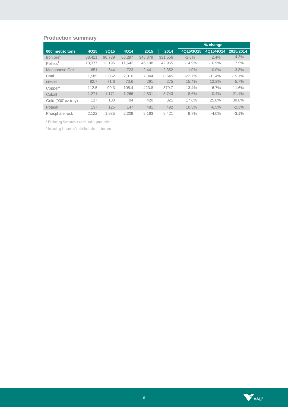# **Production summary**

|                         |        |        |        |         |         |           | % change  |           |
|-------------------------|--------|--------|--------|---------|---------|-----------|-----------|-----------|
| 000' metric tons        | 4Q15   | 3Q15   | 4Q14   | 2015    | 2014    | 4Q15/3Q15 | 4Q15/4Q14 | 2015/2014 |
| Iron ore                | 88.411 | 90.739 | 86.297 | 345.879 | 331,556 | $-2.6%$   | 2.4%      | 4.3%      |
| $P$ ellets <sup>1</sup> | 10.377 | 12.196 | 11,642 | 46.198  | 42,965  | $-14.9%$  | $-10.9%$  | 7.5%      |
| Manganese Ore           | 651    | 644    | 723    | 2.441   | 2.352   | 1.0%      | $-10.0\%$ | 3.8%      |
| Coal                    | 1.585  | 2.052  | 2.310  | 7.344   | 8.645   | $-22.7%$  | $-31.4%$  | $-15.1%$  |
| <b>Nickel</b>           | 82.7   | 71.6   | 73.6   | 291     | 275     | 15.4%     | 12.3%     | 5.7%      |
| Copper <sup>2</sup>     | 112.5  | 99.3   | 105.4  | 423.8   | 379.7   | 13.4%     | 6.7%      | 11.6%     |
| Cobalt                  | 1.271  | 1.171  | 1.266  | 4.531   | 3.743   | 8.6%      | 0.4%      | 21.1%     |
| Gold (000' oz troy)     | 117    | 100    | 94     | 420     | 321     | 17.6%     | 25.6%     | 30.8%     |
| Potash                  | 137    | 125    | 147    | 481     | 492     | 10.3%     | $-6.5%$   | $-2.3%$   |
| Phosphate rock          | 2.122  | 1.935  | 2.209  | 8.163   | 8.421   | 9.7%      | $-4.0%$   | $-3.1\%$  |

<sup>1</sup> Excluding Samarco's attributable production.

² Including Lubambe's attributable production.

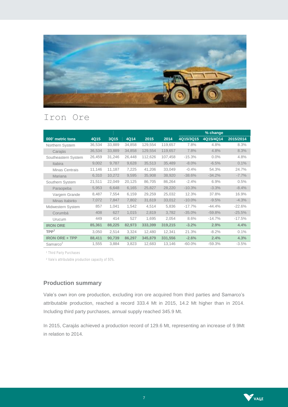

# Iron Ore

|                       |        |        |        |         |         |           | % change  |           |
|-----------------------|--------|--------|--------|---------|---------|-----------|-----------|-----------|
| 000' metric tons      | 4Q15   | 3Q15   | 4Q14   | 2015    | 2014    | 4Q15/3Q15 | 4Q15/4Q14 | 2015/2014 |
| Northern System       | 36,534 | 33,889 | 34,858 | 129,554 | 119,657 | 7.8%      | 4.8%      | 8.3%      |
| Carajás               | 36,534 | 33,889 | 34,858 | 129,554 | 119,657 | 7.8%      | 4.8%      | 8.3%      |
| Southeastern System   | 26,459 | 31,246 | 26,448 | 112,626 | 107,458 | $-15.3%$  | 0.0%      | 4.8%      |
| <b>Itabira</b>        | 9,002  | 9.787  | 9,628  | 35,513  | 35,489  | $-8.0\%$  | $-6.5%$   | 0.1%      |
| Minas Centrais        | 11,146 | 11,187 | 7,225  | 41,206  | 33,049  | $-0.4%$   | 54.3%     | 24.7%     |
| Mariana               | 6,310  | 10,272 | 9,595  | 35,908  | 38,920  | $-38.6%$  | $-34.2%$  | $-7.7%$   |
| Southern System       | 21,511 | 22,049 | 20,125 | 86,705  | 86,264  | $-2.4%$   | 6.9%      | 0.5%      |
| Paraopeba             | 5,953  | 6,648  | 6,165  | 25,827  | 28,220  | $-10.3%$  | $-3.3%$   | $-8.4%$   |
| Vargem Grande         | 8,487  | 7,554  | 6,159  | 29,259  | 25,032  | 12.3%     | 37.8%     | 16.9%     |
| Minas Itabirito       | 7,072  | 7,847  | 7,802  | 31,619  | 33,012  | $-10.0%$  | $-9.5%$   | $-4.3%$   |
| Midwestern System     | 857    | 1.041  | 1,542  | 4,514   | 5,836   | $-17.7\%$ | $-44.4%$  | $-22.6%$  |
| Corumbá               | 408    | 627    | 1,015  | 2,819   | 3,782   | $-35.0%$  | $-59.8%$  | $-25.5%$  |
| Urucum                | 449    | 414    | 527    | 1,695   | 2,054   | 8.6%      | $-14.7%$  | $-17.5%$  |
| <b>IRON ORE</b>       | 85,361 | 88,225 | 82,973 | 333,399 | 319,215 | $-3.2%$   | 2.9%      | 4.4%      |
| TPP <sup>1</sup>      | 3,050  | 2,514  | 3,324  | 12,480  | 12,341  | 21.3%     | $-8.2%$   | 0.1%      |
| <b>IRON ORE + TPP</b> | 88,411 | 90,739 | 86,297 | 345,879 | 331,556 | $-2.6%$   | 2.4%      | 4.3%      |
| Samarco <sup>2</sup>  | 1,555  | 3,884  | 3,823  | 12,683  | 13,146  | $-60.0\%$ | $-59.3%$  | $-3.5%$   |

<sup>1</sup> Third Party Purchases

² Vale's attributable production capacity of 50%.

# **Production summary**

Vale's own iron ore production, excluding iron ore acquired from third parties and Samarco's attributable production, reached a record 333.4 Mt in 2015, 14.2 Mt higher than in 2014. Including third party purchases, annual supply reached 345.9 Mt.

In 2015, Carajás achieved a production record of 129.6 Mt, representing an increase of 9.9Mt in relation to 2014.

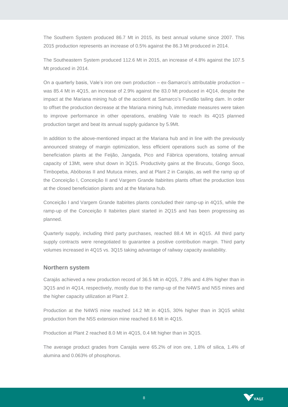The Southern System produced 86.7 Mt in 2015, its best annual volume since 2007. This 2015 production represents an increase of 0.5% against the 86.3 Mt produced in 2014.

The Southeastern System produced 112.6 Mt in 2015, an increase of 4.8% against the 107.5 Mt produced in 2014.

On a quarterly basis, Vale's iron ore own production – ex-Samarco's attributable production – was 85.4 Mt in 4Q15, an increase of 2.9% against the 83.0 Mt produced in 4Q14, despite the impact at the Mariana mining hub of the accident at Samarco's Fundão tailing dam. In order to offset the production decrease at the Mariana mining hub, immediate measures were taken to improve performance in other operations, enabling Vale to reach its 4Q15 planned production target and beat its annual supply guidance by 5.9Mt.

In addition to the above-mentioned impact at the Mariana hub and in line with the previously announced strategy of margin optimization, less efficient operations such as some of the beneficiation plants at the Feijão, Jangada, Pico and Fábrica operations, totaling annual capacity of 13Mt, were shut down in 3Q15. Productivity gains at the Brucutu, Gongo Soco, Timbopeba, Abóboras II and Mutuca mines, and at Plant 2 in Carajás, as well the ramp up of the Conceição I, Conceição II and Vargem Grande Itabirites plants offset the production loss at the closed beneficiation plants and at the Mariana hub.

Conceição I and Vargem Grande Itabirites plants concluded their ramp-up in 4Q15, while the ramp-up of the Conceição II Itabirites plant started in 2Q15 and has been progressing as planned.

Quarterly supply, including third party purchases, reached 88.4 Mt in 4Q15. All third party supply contracts were renegotiated to guarantee a positive contribution margin. Third party volumes increased in 4Q15 vs. 3Q15 taking advantage of railway capacity availability.

#### **Northern system**

Carajás achieved a new production record of 36.5 Mt in 4Q15, 7.8% and 4.8% higher than in 3Q15 and in 4Q14, respectively, mostly due to the ramp-up of the N4WS and N5S mines and the higher capacity utilization at Plant 2.

Production at the N4WS mine reached 14.2 Mt in 4Q15, 30% higher than in 3Q15 whilst production from the N5S extension mine reached 8.6 Mt in 4Q15.

Production at Plant 2 reached 8.0 Mt in 4Q15, 0.4 Mt higher than in 3Q15.

The average product grades from Carajás were 65.2% of iron ore, 1.8% of silica, 1.4% of alumina and 0.063% of phosphorus.

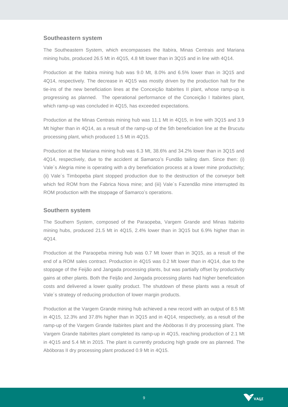#### **Southeastern system**

The Southeastern System, which encompasses the Itabira, Minas Centrais and Mariana mining hubs, produced 26.5 Mt in 4Q15, 4.8 Mt lower than in 3Q15 and in line with 4Q14.

Production at the Itabira mining hub was 9.0 Mt, 8.0% and 6.5% lower than in 3Q15 and 4Q14, respectively. The decrease in 4Q15 was mostly driven by the production halt for the tie-ins of the new beneficiation lines at the Conceição Itabirites II plant, whose ramp-up is progressing as planned. The operational performance of the Conceição I Itabirites plant, which ramp-up was concluded in 4Q15, has exceeded expectations.

Production at the Minas Centrais mining hub was 11.1 Mt in 4Q15, in line with 3Q15 and 3.9 Mt higher than in 4Q14, as a result of the ramp-up of the 5th beneficiation line at the Brucutu processing plant, which produced 1.5 Mt in 4Q15.

Production at the Mariana mining hub was 6.3 Mt, 38.6% and 34.2% lower than in 3Q15 and 4Q14, respectively, due to the accident at Samarco's Fundão tailing dam. Since then: (i) Vale´s Alegria mine is operating with a dry beneficiation process at a lower mine productivity; (ii) Vale´s Timbopeba plant stopped production due to the destruction of the conveyor belt which fed ROM from the Fabrica Nova mine; and (iii) Vale´s Fazendão mine interrupted its ROM production with the stoppage of Samarco's operations.

#### **Southern system**

The Southern System, composed of the Paraopeba, Vargem Grande and Minas Itabirito mining hubs, produced 21.5 Mt in 4Q15, 2.4% lower than in 3Q15 but 6.9% higher than in 4Q14.

Production at the Paraopeba mining hub was 0.7 Mt lower than in 3Q15, as a result of the end of a ROM sales contract. Production in 4Q15 was 0.2 Mt lower than in 4Q14, due to the stoppage of the Feijão and Jangada processing plants, but was partially offset by productivity gains at other plants. Both the Feijão and Jangada processing plants had higher beneficiation costs and delivered a lower quality product. The shutdown of these plants was a result of Vale´s strategy of reducing production of lower margin products.

Production at the Vargem Grande mining hub achieved a new record with an output of 8.5 Mt in 4Q15, 12.3% and 37.8% higher than in 3Q15 and in 4Q14, respectively, as a result of the ramp-up of the Vargem Grande Itabirites plant and the Abóboras II dry processing plant. The Vargem Grande Itabirites plant completed its ramp-up in 4Q15, reaching production of 2.1 Mt in 4Q15 and 5.4 Mt in 2015. The plant is currently producing high grade ore as planned. The Abóboras II dry processing plant produced 0.9 Mt in 4Q15.

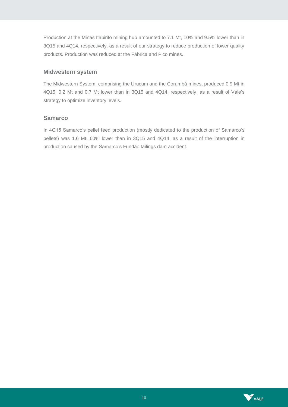Production at the Minas Itabirito mining hub amounted to 7.1 Mt, 10% and 9.5% lower than in 3Q15 and 4Q14, respectively, as a result of our strategy to reduce production of lower quality products. Production was reduced at the Fábrica and Pico mines.

#### **Midwestern system**

The Midwestern System, comprising the Urucum and the Corumbá mines, produced 0.9 Mt in 4Q15, 0.2 Mt and 0.7 Mt lower than in 3Q15 and 4Q14, respectively, as a result of Vale's strategy to optimize inventory levels.

#### **Samarco**

In 4Q15 Samarco's pellet feed production (mostly dedicated to the production of Samarco's pellets) was 1.6 Mt, 60% lower than in 3Q15 and 4Q14, as a result of the interruption in production caused by the Samarco's Fundão tailings dam accident.

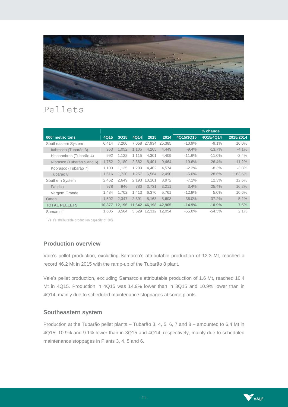

# Pellets

|                            |        |        |        |              |        |           | % change  |           |
|----------------------------|--------|--------|--------|--------------|--------|-----------|-----------|-----------|
| 000' metric tons           | 4Q15   | 3Q15   | 4Q14   | 2015         | 2014   | 4Q15/3Q15 | 4Q15/4Q14 | 2015/2014 |
| Southeastern System        | 6,414  | 7.200  | 7.058  | 27.934       | 25.385 | $-10.9%$  | $-9.1%$   | 10.0%     |
| Itabrasco (Tubarão 3)      | 953    | 1.052  | 1.105  | 4.265        | 4.449  | $-9.4%$   | $-13.7%$  | $-4.1%$   |
| Hispanobras (Tubarão 4)    | 992    | 1,122  | 1.115  | 4,301        | 4,409  | $-11.6%$  | $-11.0%$  | $-2.4%$   |
| Nibrasco (Tubarão 5 and 6) | 1.752  | 2,180  | 2.382  | 8,401        | 9,464  | $-19.6%$  | $-26.4%$  | $-11.2%$  |
| Kobrasco (Tubarão 7)       | 1.100  | 1.125  | 1.200  | 4,402        | 4,574  | $-2.2%$   | $-8.3%$   | $-3.8%$   |
| Tubarão 8                  | 1,616  | 1,720  | 1.257  | 6,564        | 2,490  | $-6.0\%$  | 28.6%     | 163.6%    |
| Southern System            | 2,462  | 2,649  | 2.193  | 10.101       | 8.972  | $-7.1%$   | 12.3%     | 12.6%     |
| Fabrica                    | 978    | 946    | 780    | 3.731        | 3.211  | 3.4%      | 25.4%     | 16.2%     |
| Vargem Grande              | 1.484  | 1.702  | 1.413  | 6,370        | 5.761  | $-12.8%$  | 5.0%      | 10.6%     |
| Oman                       | 1.502  | 2.347  | 2.391  | 8.163        | 8.608  | $-36.0%$  | $-37.2%$  | $-5.2%$   |
| <b>TOTAL PELLETS</b>       | 10.377 | 12.196 | 11.642 | 46.198       | 42.965 | $-14.9%$  | $-10.9%$  | 7.5%      |
| Samarco                    | 1.605  | 3.564  |        | 3.529 12.312 | 12.054 | $-55.0%$  | $-54.5%$  | 2.1%      |

<sup>'</sup> Vale's attributable production capacity of 50%.

# **Production overview**

Vale's pellet production, excluding Samarco's attributable production of 12.3 Mt, reached a record 46.2 Mt in 2015 with the ramp-up of the Tubarão 8 plant.

Vale's pellet production, excluding Samarco's attributable production of 1.6 Mt, reached 10.4 Mt in 4Q15. Production in 4Q15 was 14.9% lower than in 3Q15 and 10.9% lower than in 4Q14, mainly due to scheduled maintenance stoppages at some plants.

#### **Southeastern system**

Production at the Tubarão pellet plants – Tubarão 3, 4, 5, 6, 7 and 8 – amounted to 6.4 Mt in 4Q15, 10.9% and 9.1% lower than in 3Q15 and 4Q14, respectively, mainly due to scheduled maintenance stoppages in Plants 3, 4, 5 and 6.

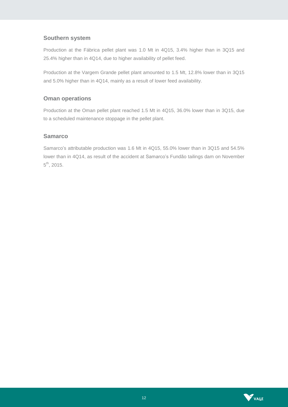# **Southern system**

Production at the Fábrica pellet plant was 1.0 Mt in 4Q15, 3.4% higher than in 3Q15 and 25.4% higher than in 4Q14, due to higher availability of pellet feed.

Production at the Vargem Grande pellet plant amounted to 1.5 Mt, 12.8% lower than in 3Q15 and 5.0% higher than in 4Q14, mainly as a result of lower feed availability.

# **Oman operations**

Production at the Oman pellet plant reached 1.5 Mt in 4Q15, 36.0% lower than in 3Q15, due to a scheduled maintenance stoppage in the pellet plant.

# **Samarco**

Samarco's attributable production was 1.6 Mt in 4Q15, 55.0% lower than in 3Q15 and 54.5% lower than in 4Q14, as result of the accident at Samarco's Fundão tailings dam on November  $5^{\text{th}}$ , 2015.

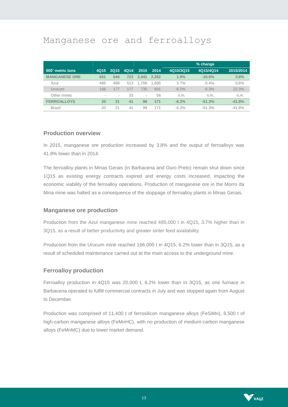# Manganese ore and ferroalloys

|                      |      |             |      |       |       |           | % change  |           |
|----------------------|------|-------------|------|-------|-------|-----------|-----------|-----------|
| 000' metric tons     | 4Q15 | <b>3Q15</b> | 4Q14 | 2015  | 2014  | 4Q15/3Q15 | 4Q15/4Q14 | 2015/2014 |
| <b>MANGANESE ORE</b> | 651  | 644         | 723  | 2.441 | 2.352 | 1.0%      | $-10.0\%$ | 3.8%      |
| Azul                 | 485  | 468         | 513  | 1.706 | 1.695 | 3.7%      | $-5.4\%$  | 0.6%      |
| Urucum               | 166  | 177         | 177  | 735   | 601   | $-6.2\%$  | $-6.3%$   | 22.3%     |
| Other mines          | ٠    | $\sim$      | 33   | ۰     | 56    | n.m.      | n.m.      | n.m.      |
| <b>FERROALLOYS</b>   | 20   | 21          | 41   | 99    | 171   | $-6.2%$   | $-51.3%$  | $-41.8%$  |
| <b>Brazil</b>        | 20   | 21          | 41   | 99    | 171   | $-6.2\%$  | $-51.3%$  | $-41.8%$  |

#### **Production overview**

In 2015, manganese ore production increased by 3.8% and the output of ferroalloys was 41.8% lower than in 2014.

The ferroalloy plants in Minas Gerais (in Barbacena and Ouro Preto) remain shut down since 1Q15 as existing energy contracts expired and energy costs increased, impacting the economic viability of the ferroalloy operations. Production of manganese ore in the Morro da Mina mine was halted as a consequence of the stoppage of ferroalloy plants in Minas Gerais.

#### **Manganese ore production**

Production from the Azul manganese mine reached 485,000 t in 4Q15, 3.7% higher than in 3Q15, as a result of better productivity and greater sinter feed availability.

Production from the Urucum mine reached 166,000 t in 4Q15, 6.2% lower than in 3Q15, as a result of scheduled maintenance carried out at the main access to the underground mine.

#### **Ferroalloy production**

Ferroalloy production in 4Q15 was 20,000 t, 6.2% lower than in 3Q15, as one furnace in Barbacena operated to fulfill commercial contracts in July and was stopped again from August to December.

Production was comprised of 11,400 t of ferrosilicon manganese alloys (FeSiMn), 8,500 t of high-carbon manganese alloys (FeMnHC), with no production of medium-carbon manganese alloys (FeMnMC) due to lower market demand.

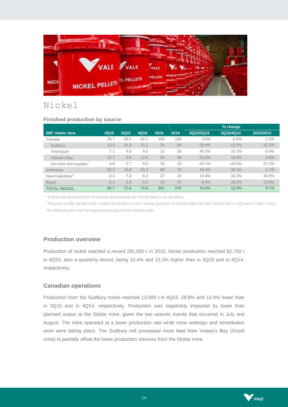

# Nickel

#### **Finished production by source**

|                                     |      |      |      |      |      |           | % change  |           |
|-------------------------------------|------|------|------|------|------|-----------|-----------|-----------|
| 000' metric tons                    | 4Q15 | 3Q15 | 4Q14 | 2015 | 2014 | 4Q15/3Q15 | 4Q15/4Q14 | 2015/2014 |
| Canada                              | 39.7 | 38.5 | 42.1 | 160  | 156  | 3.0%      | $-5.8%$   | 2.3%      |
| Sudbury                             | 13.0 | 18.3 | 15.1 | 54   | 64   | $-28.8%$  | $-13.4%$  | $-15.3%$  |
| Thompson                            | 7.1  | 4.9  | 6.5  | 25   | 26   | 45.5%     | 10.1%     | $-5.0%$   |
| Voisey's Bay                        | 14.7 | 9.6  | 12.6 | 53   | 48   | 53.5%     | 16.8%     | 9.8%      |
| Ore from third parties <sup>1</sup> | 4.8  | 5.7  | 8.0  | 28   | 18   | $-16.1%$  | $-40.0%$  | 57.2%     |
| Indonesia                           | 28.3 | 19.8 | 20.3 | 80   | 79   | 42.4%     | 39.3%     | 1.1%      |
| New Caledonia <sup>2</sup>          | 8.3  | 7.3  | 6.2  | 27   | 19   | 13.4%     | 33.2%     | 43.9%     |
| <b>Brazil</b>                       | 6.4  | 5.9  | 5.0  | 24   | 21   | 8.4%      | 28.2%     | 13.9%     |
| <b>TOTAL NICKEL</b>                 | 82.7 | 71.6 | 73.6 | 291  | 275  | 15.4%     | 12.3%     | 5.7%      |

 $1$  External feed purchased from third parties and processed into finished nickel in our operations.

<sup>2</sup> Production at VNC reached 9,600 t in 4Q15 and 30,800 t in 2015, whereas production of finished nickel from VNC totaled 8,300 t in 4Q15 and 27,000 t in 2015; the differences stem from the required processing time into finished nickel.

# **Production overview**

Production of nickel reached a record 291,000 t in 2015. Nickel production reached 82,700 t in 4Q15, also a quarterly record, being 15.4% and 12.3% higher than in 3Q15 and in 4Q14, respectively.

#### **Canadian operations**

Production from the Sudbury mines reached 13,000 t in 4Q15, 28.8% and 13.4% lower than in 3Q15 and in 4Q14, respectively. Production was negatively impacted by lower than planned output at the Stobie mine, given the two seismic events that occurred in July and August. The mine operated at a lower production rate while mine redesign and remediation work were taking place. The Sudbury mill processed more feed from Voisey's Bay (Ovoid mine) to partially offset the lower production volumes from the Stobie mine.

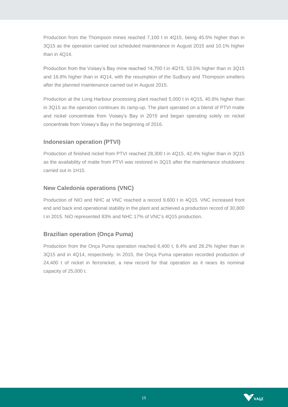Production from the Thompson mines reached 7,100 t in 4Q15, being 45.5% higher than in 3Q15 as the operation carried out scheduled maintenance in August 2015 and 10.1% higher than in 4Q14.

Production from the Voisey's Bay mine reached 14,700 t in 4Q15, 53.5% higher than in 3Q15 and 16.8% higher than in 4Q14, with the resumption of the Sudbury and Thompson smelters after the planned maintenance carried out in August 2015.

Production at the Long Harbour processing plant reached 5,000 t in 4Q15, 40.8% higher than in 3Q15 as the operation continues its ramp-up. The plant operated on a blend of PTVI matte and nickel concentrate from Voisey's Bay in 2015 and began operating solely on nickel concentrate from Voisey's Bay in the beginning of 2016.

# **Indonesian operation (PTVI)**

Production of finished nickel from PTVI reached 28,300 t in 4Q15, 42.4% higher than in 3Q15 as the availability of matte from PTVI was restored in 3Q15 after the maintenance shutdowns carried out in 1H15.

# **New Caledonia operations (VNC)**

Production of NiO and NHC at VNC reached a record 9,600 t in 4Q15. VNC increased front end and back end operational stability in the plant and achieved a production record of 30,800 t in 2015. NiO represented 83% and NHC 17% of VNC's 4Q15 production.

# **Brazilian operation (Onça Puma)**

Production from the Onça Puma operation reached 6,400 t, 8.4% and 28.2% higher than in 3Q15 and in 4Q14, respectively. In 2015, the Onça Puma operation recorded production of 24,400 t of nickel in ferronickel, a new record for that operation as it nears its nominal capacity of 25,000 t.

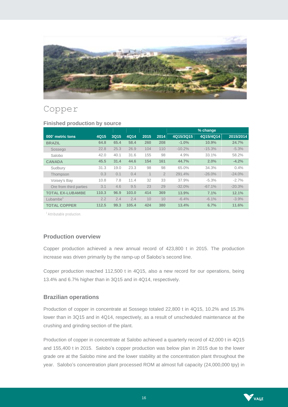

# Copper

|                         |       |      |       |      |                |           | % change  |           |
|-------------------------|-------|------|-------|------|----------------|-----------|-----------|-----------|
| 000' metric tons        | 4Q15  | 3Q15 | 4Q14  | 2015 | 2014           | 4Q15/3Q15 | 4Q15/4Q14 | 2015/2014 |
| <b>BRAZIL</b>           | 64.8  | 65.4 | 58.4  | 260  | 208            | $-1.0%$   | 10.9%     | 24.7%     |
| Sossego                 | 22.8  | 25.3 | 26.9  | 104  | 110            | $-10.2%$  | $-15.3%$  | $-5.3%$   |
| Salobo                  | 42.0  | 40.1 | 31.6  | 155  | 98             | 4.9%      | 33.1%     | 58.2%     |
| <b>CANADA</b>           | 45.5  | 31.4 | 44.6  | 154  | 161            | 44.7%     | 2.0%      | $-4.2%$   |
| Sudbury                 | 31.3  | 19.0 | 23.3  | 98   | 98             | 65.0%     | 34.3%     | 0.4%      |
| Thompson                | 0.3   | 0.1  | 0.4   |      | $\overline{2}$ | 291.4%    | $-26.0%$  | $-24.0%$  |
| Voisey's Bay            | 10.8  | 7.8  | 11.4  | 32   | 33             | 37.9%     | $-5.3%$   | $-2.7%$   |
| Ore from third parties  | 3.1   | 4.6  | 9.5   | 23   | 29             | $-32.0%$  | $-67.1%$  | $-20.3%$  |
| <b>TOTAL EX-LUBAMBE</b> | 110.3 | 96.9 | 103.0 | 414  | 369            | 13.9%     | 7.1%      | 12.1%     |
| Lubambe <sup>1</sup>    | 2.2   | 2.4  | 2.4   | 10   | 10             | $-6.4%$   | $-6.1%$   | $-3.9%$   |
| <b>TOTAL COPPER</b>     | 112.5 | 99.3 | 105.4 | 424  | 380            | 13.4%     | 6.7%      | 11.6%     |

#### **Finished production by source**

<sup>1</sup> Attributable production.

# **Production overview**

Copper production achieved a new annual record of 423,800 t in 2015. The production increase was driven primarily by the ramp-up of Salobo's second line.

Copper production reached 112,500 t in 4Q15, also a new record for our operations, being 13.4% and 6.7% higher than in 3Q15 and in 4Q14, respectively.

#### **Brazilian operations**

Production of copper in concentrate at Sossego totaled 22,800 t in 4Q15, 10.2% and 15.3% lower than in 3Q15 and in 4Q14, respectively, as a result of unscheduled maintenance at the crushing and grinding section of the plant.

Production of copper in concentrate at Salobo achieved a quarterly record of 42,000 t in 4Q15 and 155,400 t in 2015. Salobo's copper production was below plan in 2015 due to the lower grade ore at the Salobo mine and the lower stability at the concentration plant throughout the year. Salobo's concentration plant processed ROM at almost full capacity (24,000,000 tpy) in

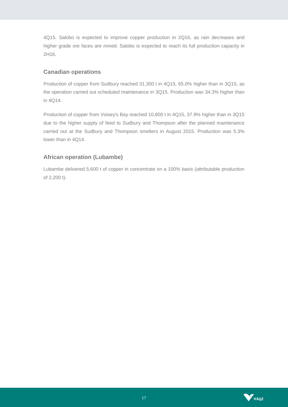4Q15. Salobo is expected to improve copper production in 2Q16, as rain decreases and higher grade ore faces are mined. Salobo is expected to reach its full production capacity in 2H16.

# **Canadian operations**

Production of copper from Sudbury reached 31,300 t in 4Q15, 65.0% higher than in 3Q15, as the operation carried out scheduled maintenance in 3Q15. Production was 34.3% higher than in 4Q14.

Production of copper from Voisey's Bay reached 10,800 t in 4Q15, 37.9% higher than in 3Q15 due to the higher supply of feed to Sudbury and Thompson after the planned maintenance carried out at the Sudbury and Thompson smelters in August 2015. Production was 5.3% lower than in 4Q14.

# **African operation (Lubambe)**

Lubambe delivered 5,600 t of copper in concentrate on a 100% basis (attributable production of 2,200 t).

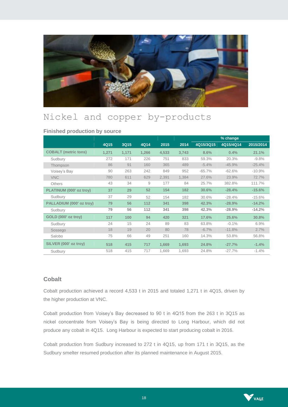

# Nickel and copper by-products

#### **Finished production by source**

|                             |       |       |       |       |       |           | % change  |           |
|-----------------------------|-------|-------|-------|-------|-------|-----------|-----------|-----------|
|                             | 4Q15  | 3Q15  | 4Q14  | 2015  | 2014  | 4Q15/3Q15 | 4Q15/4Q14 | 2015/2014 |
| <b>COBALT</b> (metric tons) | 1,271 | 1,171 | 1,266 | 4,533 | 3,743 | 8.6%      | 0.4%      | 21.1%     |
| Sudbury                     | 272   | 171   | 226   | 751   | 833   | 59.3%     | 20.3%     | $-9.8%$   |
| Thompson                    | 86    | 91    | 160   | 365   | 489   | $-5.4%$   | $-45.9%$  | $-25.4%$  |
| Voisey's Bay                | 90    | 263   | 242   | 849   | 952   | $-65.7%$  | $-62.6%$  | $-10.9%$  |
| <b>VNC</b>                  | 780   | 611   | 629   | 2,391 | 1,384 | 27.6%     | 23.9%     | 72.7%     |
| <b>Others</b>               | 43    | 34    | 9     | 177   | 84    | 25.7%     | 382.8%    | 111.7%    |
| PLATINUM (000' oz troy)     | 37    | 29    | 52    | 154   | 182   | 30.6%     | $-28.4%$  | $-15.6%$  |
| Sudbury                     | 37    | 29    | 52    | 154   | 182   | 30.6%     | $-28.4%$  | $-15.6%$  |
| PALLADIUM (000' oz troy)    | 79    | 56    | 112   | 341   | 398   | 42.3%     | $-28.9%$  | $-14.2%$  |
| Sudbury                     | 79    | 56    | 112   | 341   | 398   | 42.3%     | $-28.9%$  | $-14.2%$  |
| GOLD (000' oz troy)         | 117   | 100   | 94    | 420   | 321   | 17.6%     | 25.6%     | 30.8%     |
| Sudbury                     | 24    | 15    | 24    | 89    | 83    | 63.8%     | $-0.1%$   | 6.9%      |
| Sossego                     | 18    | 19    | 20    | 80    | 78    | $-6.7%$   | $-11.8%$  | 2.7%      |
| Salobo                      | 75    | 66    | 49    | 251   | 160   | 14.3%     | 53.8%     | 56.8%     |
| SILVER (000' oz troy)       | 518   | 415   | 717   | 1,669 | 1,693 | 24.8%     | $-27.7%$  | $-1.4%$   |
| Sudbury                     | 518   | 415   | 717   | 1.669 | 1.693 | 24.8%     | $-27.7%$  | $-1.4%$   |

### **Cobalt**

Cobalt production achieved a record 4,533 t in 2015 and totaled 1,271 t in 4Q15, driven by the higher production at VNC.

Cobalt production from Voisey's Bay decreased to 90 t in 4Q15 from the 263 t in 3Q15 as nickel concentrate from Voisey's Bay is being directed to Long Harbour, which did not produce any cobalt in 4Q15. Long Harbour is expected to start producing cobalt in 2016.

Cobalt production from Sudbury increased to 272 t in 4Q15, up from 171 t in 3Q15, as the Sudbury smelter resumed production after its planned maintenance in August 2015.

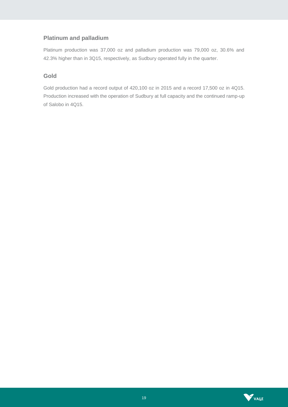# **Platinum and palladium**

Platinum production was 37,000 oz and palladium production was 79,000 oz, 30.6% and 42.3% higher than in 3Q15, respectively, as Sudbury operated fully in the quarter.

# **Gold**

Gold production had a record output of 420,100 oz in 2015 and a record 17,500 oz in 4Q15. Production increased with the operation of Sudbury at full capacity and the continued ramp-up of Salobo in 4Q15.

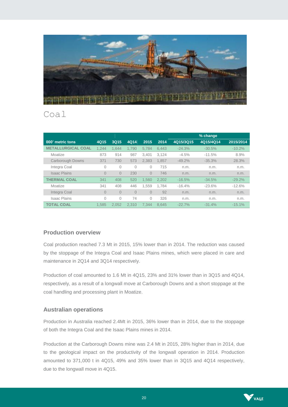

# Coal

|                           |                |          |          |          |       |           | % change  |           |
|---------------------------|----------------|----------|----------|----------|-------|-----------|-----------|-----------|
| 000' metric tons          | 4Q15           | 3Q15     | 4Q14     | 2015     | 2014  | 4Q15/3Q15 | 4Q15/4Q14 | 2015/2014 |
| <b>METALLURGICAL COAL</b> | 1.244          | 1.644    | 1.790    | 5.784    | 6.443 | $-24.3%$  | $-30.5%$  | $-10.2%$  |
| Moatize                   | 873            | 914      | 987      | 3.401    | 3.124 | $-4.5%$   | $-11.5%$  | 8.9%      |
| Carborough Downs          | 371            | 730      | 573      | 2.383    | 1.857 | $-49.2%$  | $-35.3%$  | 28.3%     |
| Integra Coal              | 0              | 0        | 0        | Ω        | 715   | n.m.      | n.m.      | n.m.      |
| <b>Isaac Plains</b>       | $\overline{0}$ | $\Omega$ | 230      | $\Omega$ | 746   | n.m.      | n.m.      | n.m.      |
| <b>THERMAL COAL</b>       | 341            | 408      | 520      | 1.560    | 2.202 | $-16.5%$  | $-34.5%$  | $-29.2%$  |
| Moatize                   | 341            | 408      | 446      | 1.559    | 1.784 | $-16.4%$  | $-23.6%$  | $-12.6%$  |
| Integra Coal              | $\overline{0}$ | 0        | $\Omega$ | $\Omega$ | 92    | n.m.      | n.m.      | n.m.      |
| <b>Isaac Plains</b>       | 0              | 0        | 74       | 0        | 326   | n.m.      | n.m.      | n.m.      |
| <b>TOTAL COAL</b>         | 1.585          | 2.052    | 2.310    | 7.344    | 8.645 | $-22.7%$  | $-31.4%$  | $-15.1%$  |

# **Production overview**

Coal production reached 7.3 Mt in 2015, 15% lower than in 2014. The reduction was caused by the stoppage of the Integra Coal and Isaac Plains mines, which were placed in care and maintenance in 2Q14 and 3Q14 respectively.

Production of coal amounted to 1.6 Mt in 4Q15, 23% and 31% lower than in 3Q15 and 4Q14, respectively, as a result of a longwall move at Carborough Downs and a short stoppage at the coal handling and processing plant in Moatize.

# **Australian operations**

Production in Australia reached 2.4Mt in 2015, 36% lower than in 2014, due to the stoppage of both the Integra Coal and the Isaac Plains mines in 2014.

Production at the Carborough Downs mine was 2.4 Mt in 2015, 28% higher than in 2014, due to the geological impact on the productivity of the longwall operation in 2014. Production amounted to 371,000 t in 4Q15, 49% and 35% lower than in 3Q15 and 4Q14 respectively, due to the longwall move in 4Q15.

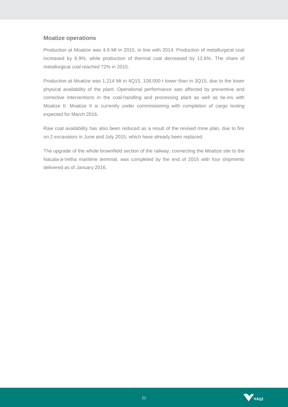#### **Moatize operations**

Production at Moatize was 4.9 Mt in 2015, in line with 2014. Production of metallurgical coal increased by 8.9%, while production of thermal coal decreased by 12.6%. The share of metallurgical coal reached 72% in 2015.

Production at Moatize was 1.214 Mt in 4Q15, 108,000 t lower than in 3Q15, due to the lower physical availability of the plant. Operational performance was affected by preventive and corrective interventions in the coal-handling and processing plant as well as tie-ins with Moatize II. Moatize II is currently under commissioning with completion of cargo testing expected for March 2016.

Raw coal availability has also been reduced as a result of the revised mine plan, due to fire on 2 excavators in June and July 2015, which have already been replaced.

The upgrade of the whole brownfield section of the railway, connecting the Moatize site to the Nacala-à-Velha maritime terminal, was completed by the end of 2015 with four shipments delivered as of January 2016.

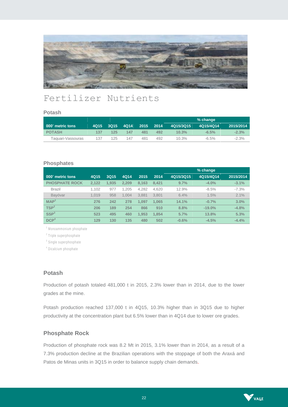

# Fertilizer Nutrients

#### **Potash**

|                   |      |      |      |      |      |           | % change  |           |
|-------------------|------|------|------|------|------|-----------|-----------|-----------|
| 000' metric tons  | 4015 | 3015 | 4014 | 2015 | 2014 | 4Q15/3Q15 | 4Q15/4Q14 | 2015/2014 |
| <b>POTASH</b>     | 137  | 125  | 147  | 481  | 492  | 10.3%     | $-6.5\%$  | $-2.3%$   |
| Taguari-Vassouras | 137  | 125  | 147  | 481  | 492  | 10.3%     | $-6.5\%$  | $-2.3%$   |

#### **Phosphates**

|                       |       |       |       |       |       |           | % change  |           |
|-----------------------|-------|-------|-------|-------|-------|-----------|-----------|-----------|
| 000' metric tons      | 4Q15  | 3Q15  | 4Q14  | 2015  | 2014  | 4Q15/3Q15 | 4Q15/4Q14 | 2015/2014 |
| <b>PHOSPHATE ROCK</b> | 2.122 | 1.935 | 2.209 | 8.163 | 8.421 | 9.7%      | $-4.0%$   | $-3.1%$   |
| <b>Brazil</b>         | 1.102 | 977   | 1.205 | 4.282 | 4.620 | 12.9%     | $-8.5%$   | $-7.3%$   |
| Bavóvar               | 1.019 | 958   | 1.004 | 3.881 | 3.801 | 6.4%      | 1.5%      | 2.1%      |
| MAP <sup>1</sup>      | 276   | 242   | 278   | 1.097 | 1.065 | 14.1%     | $-0.7%$   | 3.0%      |
| TSP <sup>2</sup>      | 206   | 189   | 254   | 866   | 910   | 8.8%      | $-19.0%$  | $-4.8%$   |
| SSP <sup>3</sup>      | 523   | 495   | 460   | 1.953 | 1.854 | 5.7%      | 13.8%     | 5.3%      |
| DCP <sup>4</sup>      | 129   | 130   | 135   | 480   | 502   | $-0.6%$   | $-4.5%$   | $-4.4%$   |

<sup>1</sup> Monoammonium phosphate

<sup>2</sup> Triple superphosphate

<sup>3</sup> Single superphosphate

<sup>4</sup> Dicalcium phosphate

### **Potash**

Production of potash totaled 481,000 t in 2015, 2.3% lower than in 2014, due to the lower grades at the mine.

Potash production reached 137,000 t in 4Q15, 10.3% higher than in 3Q15 due to higher productivity at the concentration plant but 6.5% lower than in 4Q14 due to lower ore grades.

#### **Phosphate Rock**

Production of phosphate rock was 8.2 Mt in 2015, 3.1% lower than in 2014, as a result of a 7.3% production decline at the Brazilian operations with the stoppage of both the Araxá and Patos de Minas units in 3Q15 in order to balance supply chain demands.

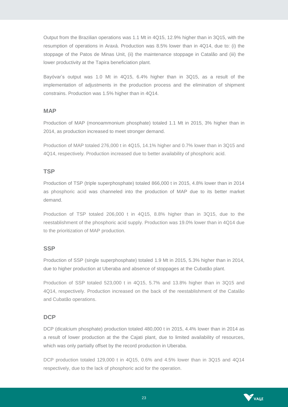Output from the Brazilian operations was 1.1 Mt in 4Q15, 12.9% higher than in 3Q15, with the resumption of operations in Araxá. Production was 8.5% lower than in 4Q14, due to: (i) the stoppage of the Patos de Minas Unit, (ii) the maintenance stoppage in Catalão and (iii) the lower productivity at the Tapira beneficiation plant.

Bayóvar's output was 1.0 Mt in 4Q15, 6.4% higher than in 3Q15, as a result of the implementation of adjustments in the production process and the elimination of shipment constrains. Production was 1.5% higher than in 4Q14.

#### **MAP**

Production of MAP (monoammonium phosphate) totaled 1.1 Mt in 2015, 3% higher than in 2014, as production increased to meet stronger demand.

Production of MAP totaled 276,000 t in 4Q15, 14.1% higher and 0.7% lower than in 3Q15 and 4Q14, respectively. Production increased due to better availability of phosphoric acid.

#### **TSP**

Production of TSP (triple superphosphate) totaled 866,000 t in 2015, 4.8% lower than in 2014 as phosphoric acid was channeled into the production of MAP due to its better market demand.

Production of TSP totaled 206,000 t in 4Q15, 8.8% higher than in 3Q15, due to the reestablishment of the phosphoric acid supply. Production was 19.0% lower than in 4Q14 due to the prioritization of MAP production.

#### **SSP**

Production of SSP (single superphosphate) totaled 1.9 Mt in 2015, 5.3% higher than in 2014, due to higher production at Uberaba and absence of stoppages at the Cubatão plant.

Production of SSP totaled 523,000 t in 4Q15, 5.7% and 13.8% higher than in 3Q15 and 4Q14, respectively. Production increased on the back of the reestablishment of the Catalão and Cubatão operations.

#### **DCP**

DCP (dicalcium phosphate) production totaled 480,000 t in 2015, 4.4% lower than in 2014 as a result of lower production at the the Cajati plant, due to limited availability of resources, which was only partially offset by the record production in Uberaba.

DCP production totaled 129,000 t in 4Q15, 0.6% and 4.5% lower than in 3Q15 and 4Q14 respectively, due to the lack of phosphoric acid for the operation.